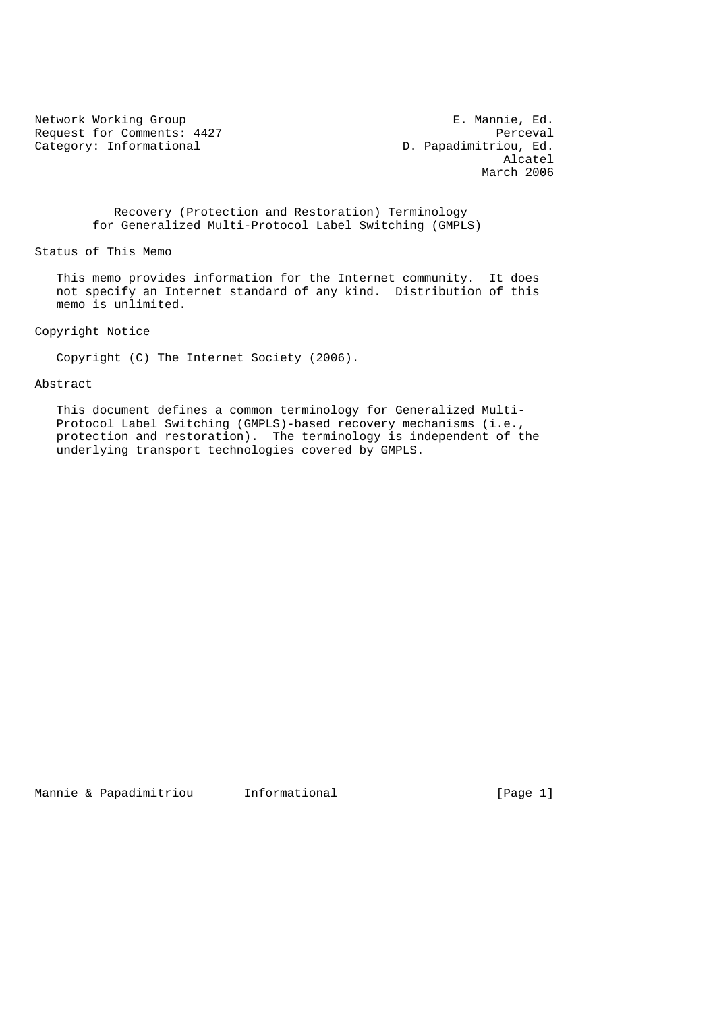Request for Comments: 4427<br>Category: Informational and D. Papadimitriou, Ed. Category: Informational

Network Working Group **E. Mannie, Ed.**  Alcatel March 2006

> Recovery (Protection and Restoration) Terminology for Generalized Multi-Protocol Label Switching (GMPLS)

Status of This Memo

 This memo provides information for the Internet community. It does not specify an Internet standard of any kind. Distribution of this memo is unlimited.

Copyright Notice

Copyright (C) The Internet Society (2006).

## Abstract

 This document defines a common terminology for Generalized Multi- Protocol Label Switching (GMPLS)-based recovery mechanisms (i.e., protection and restoration). The terminology is independent of the underlying transport technologies covered by GMPLS.

Mannie & Papadimitriou informational informational [Page 1]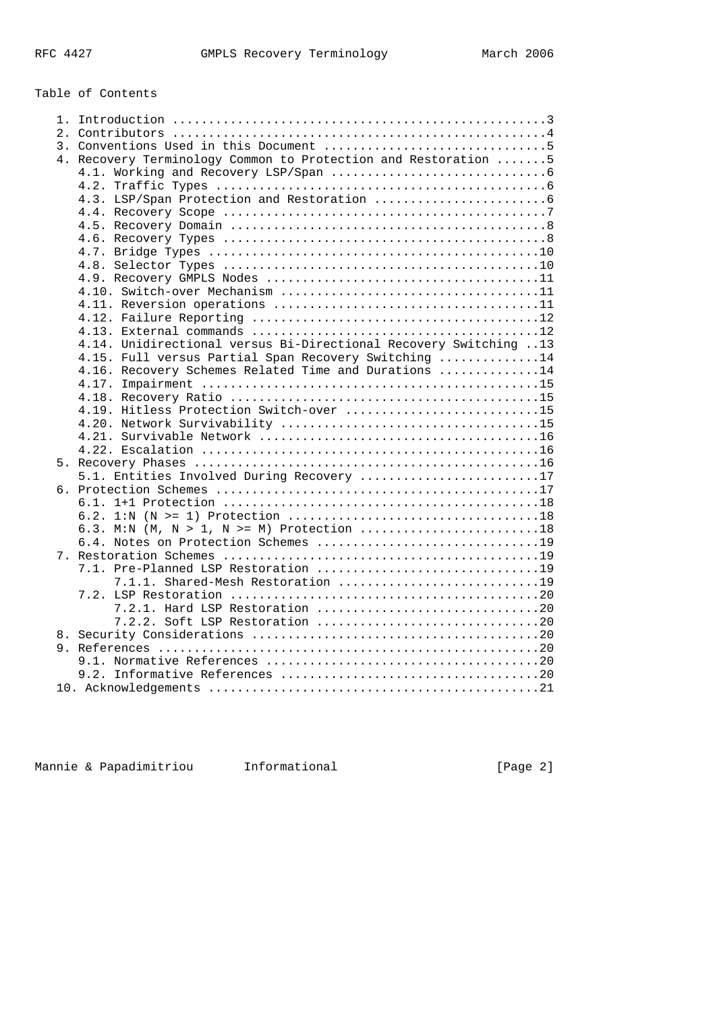Table of Contents

| 4. Recovery Terminology Common to Protection and Restoration 5   |
|------------------------------------------------------------------|
|                                                                  |
|                                                                  |
|                                                                  |
|                                                                  |
|                                                                  |
|                                                                  |
|                                                                  |
|                                                                  |
|                                                                  |
|                                                                  |
|                                                                  |
|                                                                  |
|                                                                  |
|                                                                  |
| 4.14. Unidirectional versus Bi-Directional Recovery Switching 13 |
| 4.15. Full versus Partial Span Recovery Switching 14             |
| 4.16. Recovery Schemes Related Time and Durations 14             |
|                                                                  |
|                                                                  |
| 4.19. Hitless Protection Switch-over 15                          |
|                                                                  |
|                                                                  |
|                                                                  |
|                                                                  |
| 5.1. Entities Involved During Recovery 17                        |
|                                                                  |
|                                                                  |
|                                                                  |
| 6.3. M:N (M, N > 1, N >= M) Protection 18                        |
|                                                                  |
|                                                                  |
| 7.1. Pre-Planned LSP Restoration 19                              |
| 7.1.1. Shared-Mesh Restoration 19                                |
|                                                                  |
|                                                                  |
|                                                                  |
|                                                                  |
|                                                                  |
|                                                                  |
|                                                                  |
|                                                                  |
|                                                                  |

Mannie & Papadimitriou informational informational [Page 2]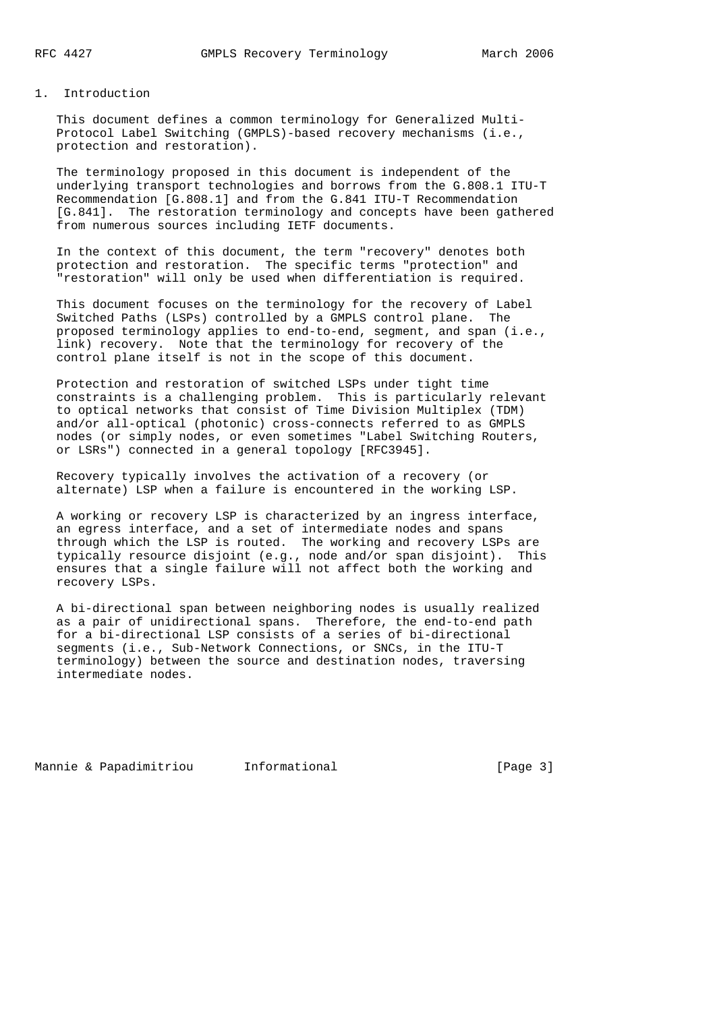## 1. Introduction

 This document defines a common terminology for Generalized Multi- Protocol Label Switching (GMPLS)-based recovery mechanisms (i.e., protection and restoration).

 The terminology proposed in this document is independent of the underlying transport technologies and borrows from the G.808.1 ITU-T Recommendation [G.808.1] and from the G.841 ITU-T Recommendation [G.841]. The restoration terminology and concepts have been gathered from numerous sources including IETF documents.

 In the context of this document, the term "recovery" denotes both protection and restoration. The specific terms "protection" and "restoration" will only be used when differentiation is required.

 This document focuses on the terminology for the recovery of Label Switched Paths (LSPs) controlled by a GMPLS control plane. The proposed terminology applies to end-to-end, segment, and span (i.e., link) recovery. Note that the terminology for recovery of the control plane itself is not in the scope of this document.

 Protection and restoration of switched LSPs under tight time constraints is a challenging problem. This is particularly relevant to optical networks that consist of Time Division Multiplex (TDM) and/or all-optical (photonic) cross-connects referred to as GMPLS nodes (or simply nodes, or even sometimes "Label Switching Routers, or LSRs") connected in a general topology [RFC3945].

 Recovery typically involves the activation of a recovery (or alternate) LSP when a failure is encountered in the working LSP.

 A working or recovery LSP is characterized by an ingress interface, an egress interface, and a set of intermediate nodes and spans through which the LSP is routed. The working and recovery LSPs are typically resource disjoint (e.g., node and/or span disjoint). This ensures that a single failure will not affect both the working and recovery LSPs.

 A bi-directional span between neighboring nodes is usually realized as a pair of unidirectional spans. Therefore, the end-to-end path for a bi-directional LSP consists of a series of bi-directional segments (i.e., Sub-Network Connections, or SNCs, in the ITU-T terminology) between the source and destination nodes, traversing intermediate nodes.

Mannie & Papadimitriou informational informational [Page 3]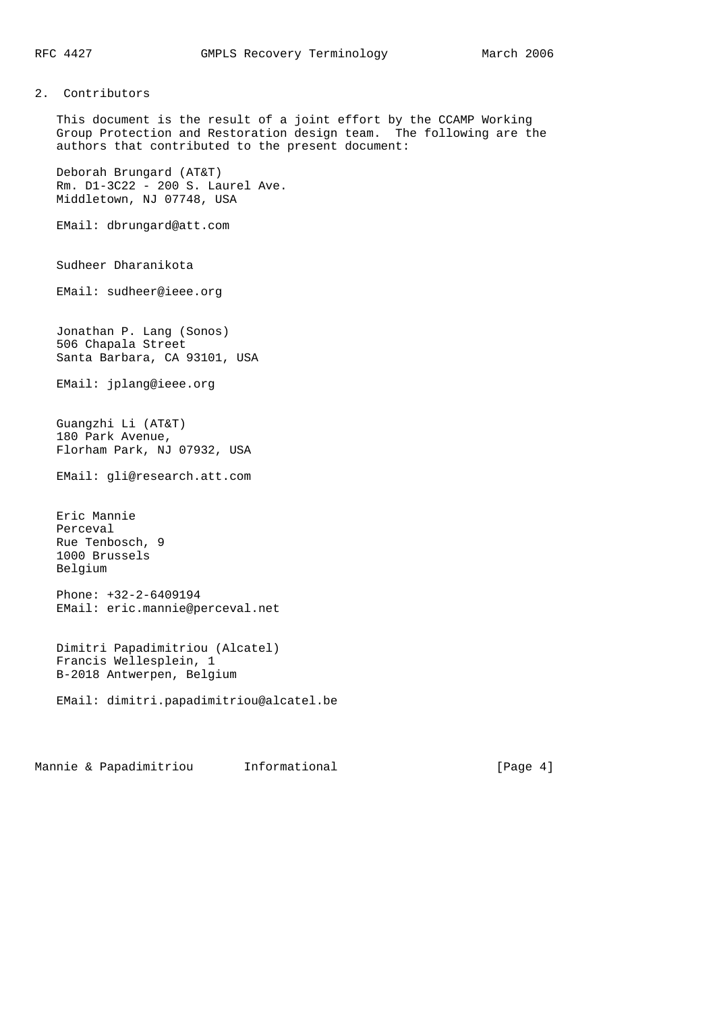# 2. Contributors

 This document is the result of a joint effort by the CCAMP Working Group Protection and Restoration design team. The following are the authors that contributed to the present document:

 Deborah Brungard (AT&T) Rm. D1-3C22 - 200 S. Laurel Ave. Middletown, NJ 07748, USA

EMail: dbrungard@att.com

Sudheer Dharanikota

EMail: sudheer@ieee.org

 Jonathan P. Lang (Sonos) 506 Chapala Street Santa Barbara, CA 93101, USA

EMail: jplang@ieee.org

 Guangzhi Li (AT&T) 180 Park Avenue, Florham Park, NJ 07932, USA

EMail: gli@research.att.com

 Eric Mannie Perceval Rue Tenbosch, 9 1000 Brussels Belgium

 Phone: +32-2-6409194 EMail: eric.mannie@perceval.net

```
 Dimitri Papadimitriou (Alcatel)
Francis Wellesplein, 1
B-2018 Antwerpen, Belgium
```

```
 EMail: dimitri.papadimitriou@alcatel.be
```
Mannie & Papadimitriou informational information [Page 4]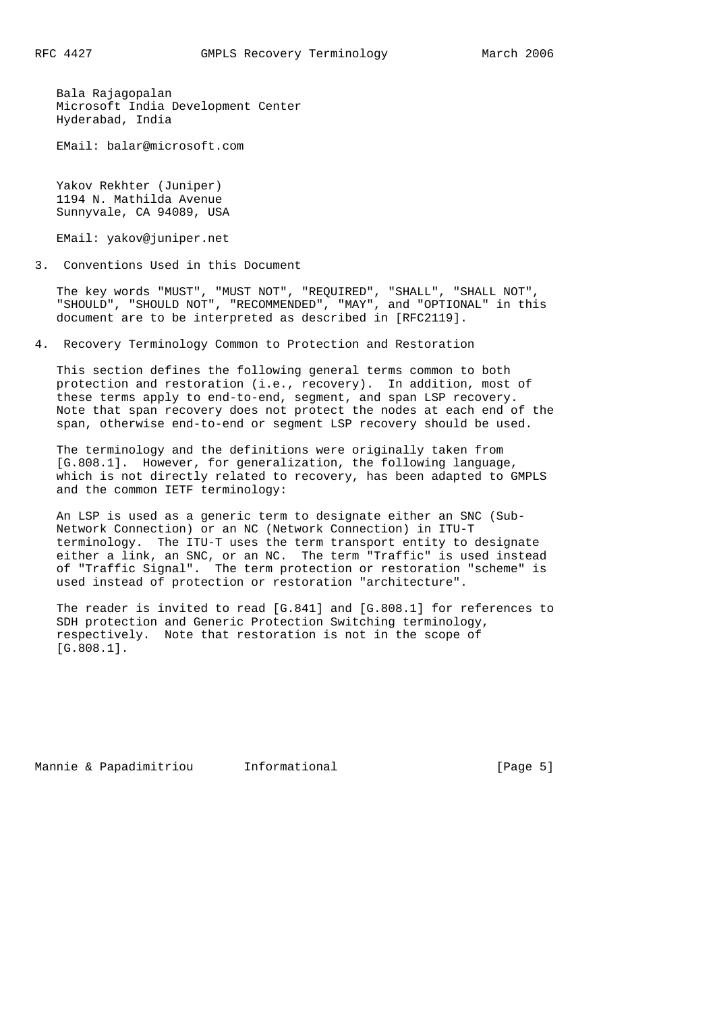Bala Rajagopalan Microsoft India Development Center Hyderabad, India

EMail: balar@microsoft.com

 Yakov Rekhter (Juniper) 1194 N. Mathilda Avenue Sunnyvale, CA 94089, USA

EMail: yakov@juniper.net

3. Conventions Used in this Document

 The key words "MUST", "MUST NOT", "REQUIRED", "SHALL", "SHALL NOT", "SHOULD", "SHOULD NOT", "RECOMMENDED", "MAY", and "OPTIONAL" in this document are to be interpreted as described in [RFC2119].

4. Recovery Terminology Common to Protection and Restoration

 This section defines the following general terms common to both protection and restoration (i.e., recovery). In addition, most of these terms apply to end-to-end, segment, and span LSP recovery. Note that span recovery does not protect the nodes at each end of the span, otherwise end-to-end or segment LSP recovery should be used.

 The terminology and the definitions were originally taken from [G.808.1]. However, for generalization, the following language, which is not directly related to recovery, has been adapted to GMPLS and the common IETF terminology:

 An LSP is used as a generic term to designate either an SNC (Sub- Network Connection) or an NC (Network Connection) in ITU-T terminology. The ITU-T uses the term transport entity to designate either a link, an SNC, or an NC. The term "Traffic" is used instead of "Traffic Signal". The term protection or restoration "scheme" is used instead of protection or restoration "architecture".

 The reader is invited to read [G.841] and [G.808.1] for references to SDH protection and Generic Protection Switching terminology, respectively. Note that restoration is not in the scope of [G.808.1].

Mannie & Papadimitriou Informational (Page 5)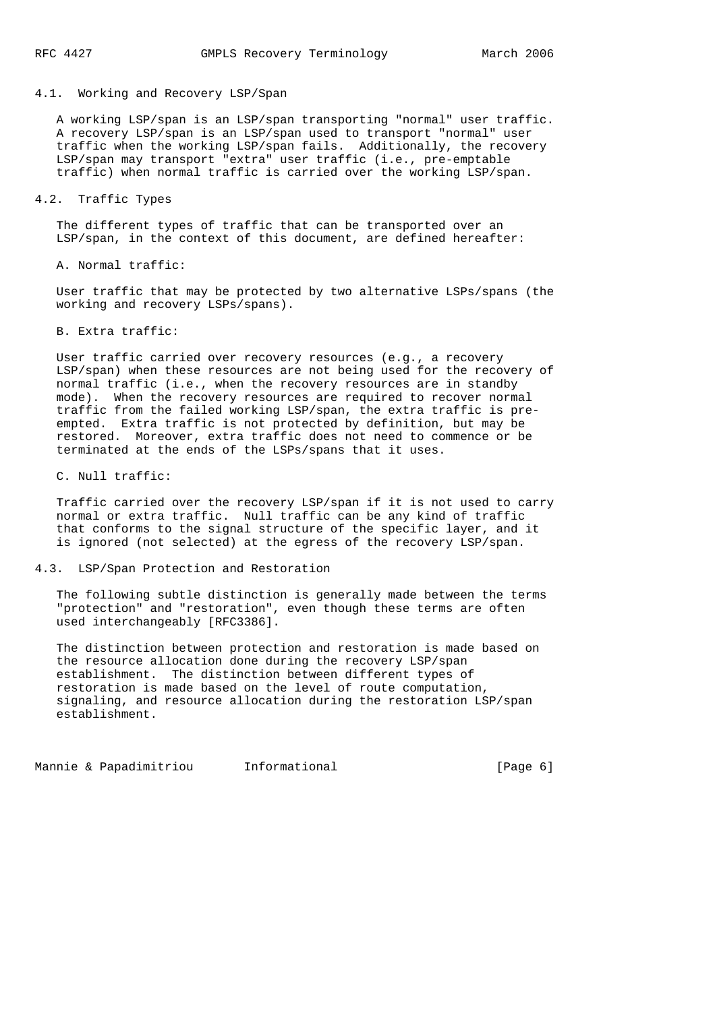# 4.1. Working and Recovery LSP/Span

 A working LSP/span is an LSP/span transporting "normal" user traffic. A recovery LSP/span is an LSP/span used to transport "normal" user traffic when the working LSP/span fails. Additionally, the recovery LSP/span may transport "extra" user traffic (i.e., pre-emptable traffic) when normal traffic is carried over the working LSP/span.

## 4.2. Traffic Types

 The different types of traffic that can be transported over an LSP/span, in the context of this document, are defined hereafter:

A. Normal traffic:

 User traffic that may be protected by two alternative LSPs/spans (the working and recovery LSPs/spans).

B. Extra traffic:

 User traffic carried over recovery resources (e.g., a recovery LSP/span) when these resources are not being used for the recovery of normal traffic (i.e., when the recovery resources are in standby mode). When the recovery resources are required to recover normal traffic from the failed working LSP/span, the extra traffic is pre empted. Extra traffic is not protected by definition, but may be restored. Moreover, extra traffic does not need to commence or be terminated at the ends of the LSPs/spans that it uses.

C. Null traffic:

 Traffic carried over the recovery LSP/span if it is not used to carry normal or extra traffic. Null traffic can be any kind of traffic that conforms to the signal structure of the specific layer, and it is ignored (not selected) at the egress of the recovery LSP/span.

#### 4.3. LSP/Span Protection and Restoration

 The following subtle distinction is generally made between the terms "protection" and "restoration", even though these terms are often used interchangeably [RFC3386].

 The distinction between protection and restoration is made based on the resource allocation done during the recovery LSP/span establishment. The distinction between different types of restoration is made based on the level of route computation, signaling, and resource allocation during the restoration LSP/span establishment.

Mannie & Papadimitriou informational (Page 6)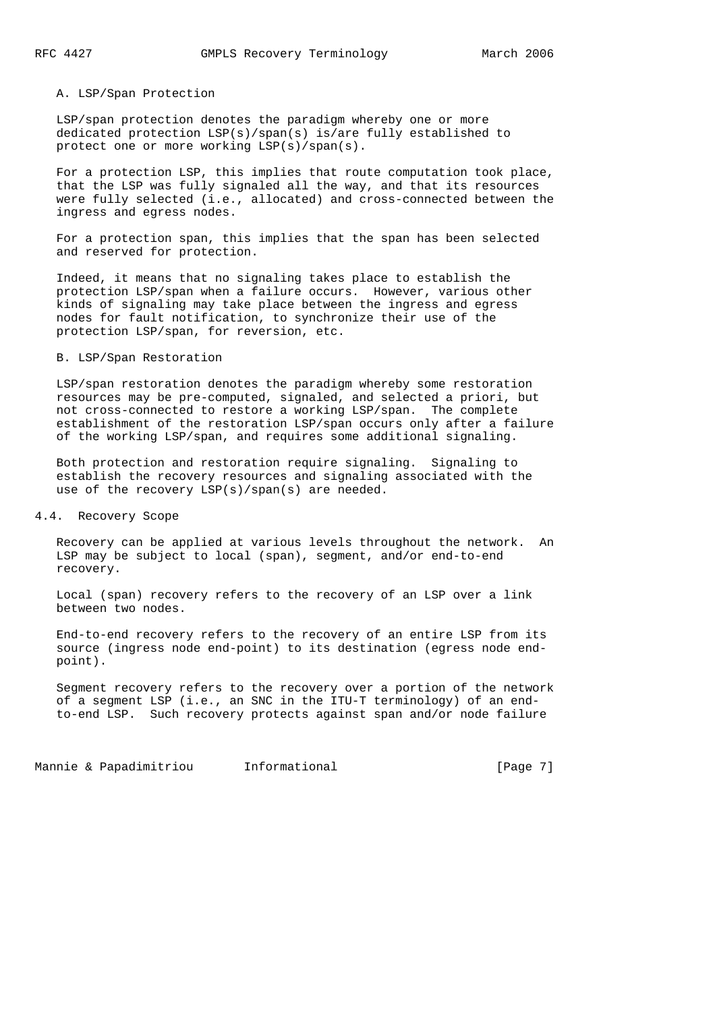### A. LSP/Span Protection

 LSP/span protection denotes the paradigm whereby one or more dedicated protection LSP(s)/span(s) is/are fully established to protect one or more working LSP(s)/span(s).

 For a protection LSP, this implies that route computation took place, that the LSP was fully signaled all the way, and that its resources were fully selected (i.e., allocated) and cross-connected between the ingress and egress nodes.

 For a protection span, this implies that the span has been selected and reserved for protection.

 Indeed, it means that no signaling takes place to establish the protection LSP/span when a failure occurs. However, various other kinds of signaling may take place between the ingress and egress nodes for fault notification, to synchronize their use of the protection LSP/span, for reversion, etc.

#### B. LSP/Span Restoration

 LSP/span restoration denotes the paradigm whereby some restoration resources may be pre-computed, signaled, and selected a priori, but not cross-connected to restore a working LSP/span. The complete establishment of the restoration LSP/span occurs only after a failure of the working LSP/span, and requires some additional signaling.

 Both protection and restoration require signaling. Signaling to establish the recovery resources and signaling associated with the use of the recovery LSP(s)/span(s) are needed.

# 4.4. Recovery Scope

 Recovery can be applied at various levels throughout the network. An LSP may be subject to local (span), segment, and/or end-to-end recovery.

 Local (span) recovery refers to the recovery of an LSP over a link between two nodes.

 End-to-end recovery refers to the recovery of an entire LSP from its source (ingress node end-point) to its destination (egress node end point).

 Segment recovery refers to the recovery over a portion of the network of a segment LSP (i.e., an SNC in the ITU-T terminology) of an end to-end LSP. Such recovery protects against span and/or node failure

Mannie & Papadimitriou informational informational [Page 7]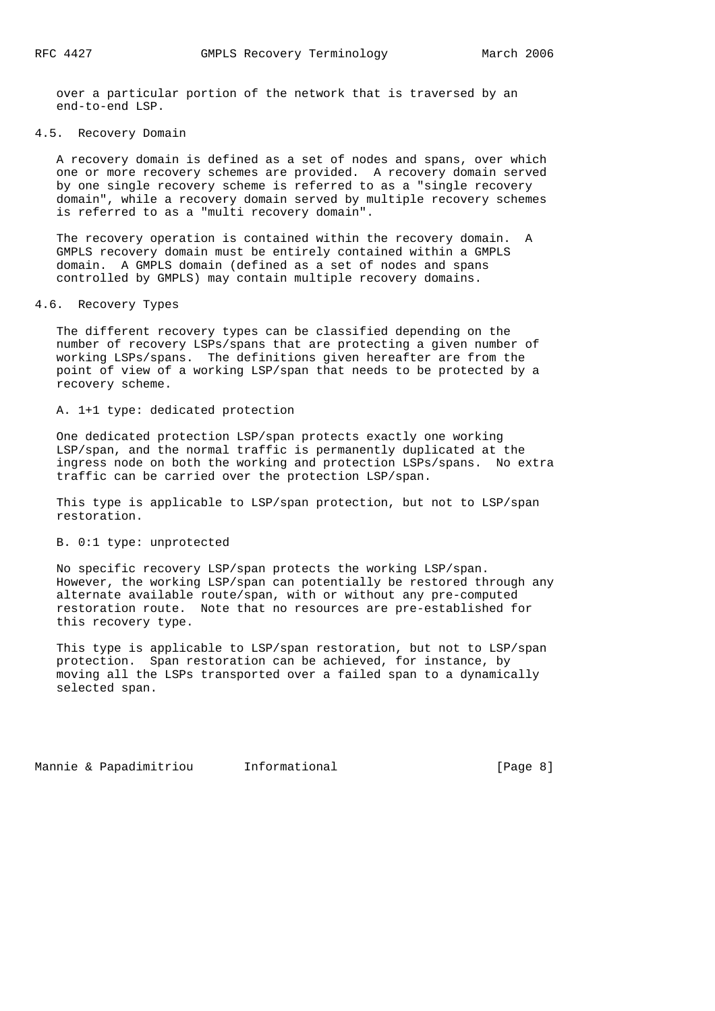over a particular portion of the network that is traversed by an end-to-end LSP.

# 4.5. Recovery Domain

 A recovery domain is defined as a set of nodes and spans, over which one or more recovery schemes are provided. A recovery domain served by one single recovery scheme is referred to as a "single recovery domain", while a recovery domain served by multiple recovery schemes is referred to as a "multi recovery domain".

 The recovery operation is contained within the recovery domain. A GMPLS recovery domain must be entirely contained within a GMPLS domain. A GMPLS domain (defined as a set of nodes and spans controlled by GMPLS) may contain multiple recovery domains.

### 4.6. Recovery Types

 The different recovery types can be classified depending on the number of recovery LSPs/spans that are protecting a given number of working LSPs/spans. The definitions given hereafter are from the point of view of a working LSP/span that needs to be protected by a recovery scheme.

### A. 1+1 type: dedicated protection

 One dedicated protection LSP/span protects exactly one working LSP/span, and the normal traffic is permanently duplicated at the ingress node on both the working and protection LSPs/spans. No extra traffic can be carried over the protection LSP/span.

 This type is applicable to LSP/span protection, but not to LSP/span restoration.

# B. 0:1 type: unprotected

 No specific recovery LSP/span protects the working LSP/span. However, the working LSP/span can potentially be restored through any alternate available route/span, with or without any pre-computed restoration route. Note that no resources are pre-established for this recovery type.

 This type is applicable to LSP/span restoration, but not to LSP/span protection. Span restoration can be achieved, for instance, by moving all the LSPs transported over a failed span to a dynamically selected span.

Mannie & Papadimitriou informational informational [Page 8]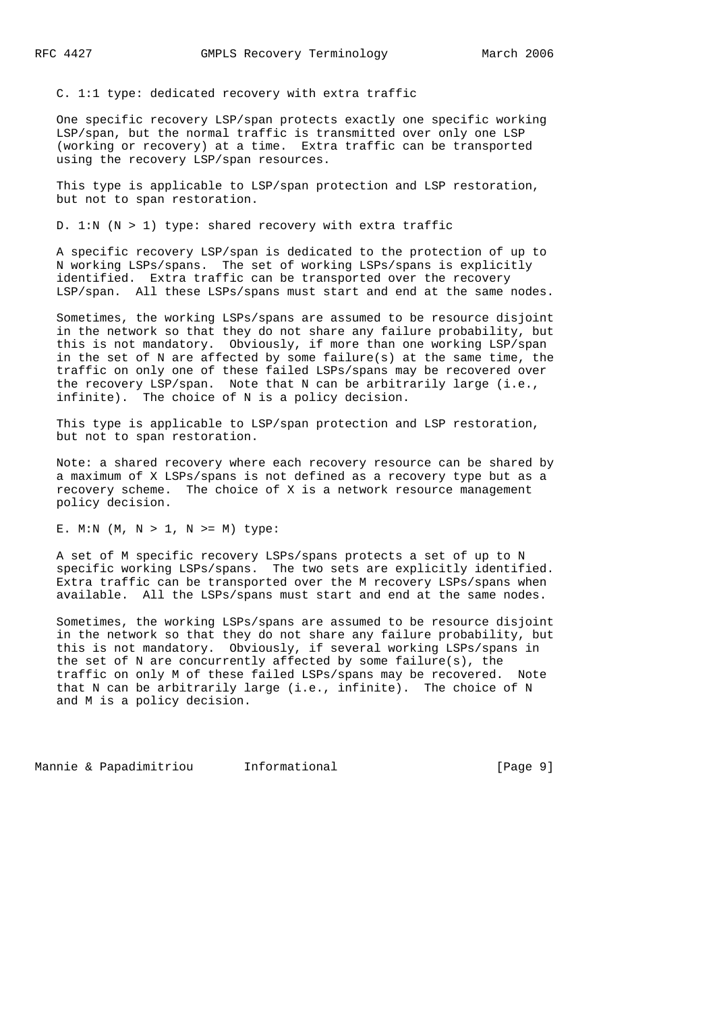C. 1:1 type: dedicated recovery with extra traffic

 One specific recovery LSP/span protects exactly one specific working LSP/span, but the normal traffic is transmitted over only one LSP (working or recovery) at a time. Extra traffic can be transported using the recovery LSP/span resources.

 This type is applicable to LSP/span protection and LSP restoration, but not to span restoration.

D. 1:N (N > 1) type: shared recovery with extra traffic

 A specific recovery LSP/span is dedicated to the protection of up to N working LSPs/spans. The set of working LSPs/spans is explicitly identified. Extra traffic can be transported over the recovery LSP/span. All these LSPs/spans must start and end at the same nodes.

 Sometimes, the working LSPs/spans are assumed to be resource disjoint in the network so that they do not share any failure probability, but this is not mandatory. Obviously, if more than one working LSP/span in the set of N are affected by some failure(s) at the same time, the traffic on only one of these failed LSPs/spans may be recovered over the recovery LSP/span. Note that N can be arbitrarily large (i.e., infinite). The choice of N is a policy decision.

 This type is applicable to LSP/span protection and LSP restoration, but not to span restoration.

 Note: a shared recovery where each recovery resource can be shared by a maximum of X LSPs/spans is not defined as a recovery type but as a recovery scheme. The choice of X is a network resource management policy decision.

E. M:N  $(M, N > 1, N > M)$  type:

 A set of M specific recovery LSPs/spans protects a set of up to N specific working LSPs/spans. The two sets are explicitly identified. Extra traffic can be transported over the M recovery LSPs/spans when available. All the LSPs/spans must start and end at the same nodes.

 Sometimes, the working LSPs/spans are assumed to be resource disjoint in the network so that they do not share any failure probability, but this is not mandatory. Obviously, if several working LSPs/spans in the set of N are concurrently affected by some failure(s), the traffic on only M of these failed LSPs/spans may be recovered. Note that N can be arbitrarily large (i.e., infinite). The choice of N and M is a policy decision.

Mannie & Papadimitriou informational informational [Page 9]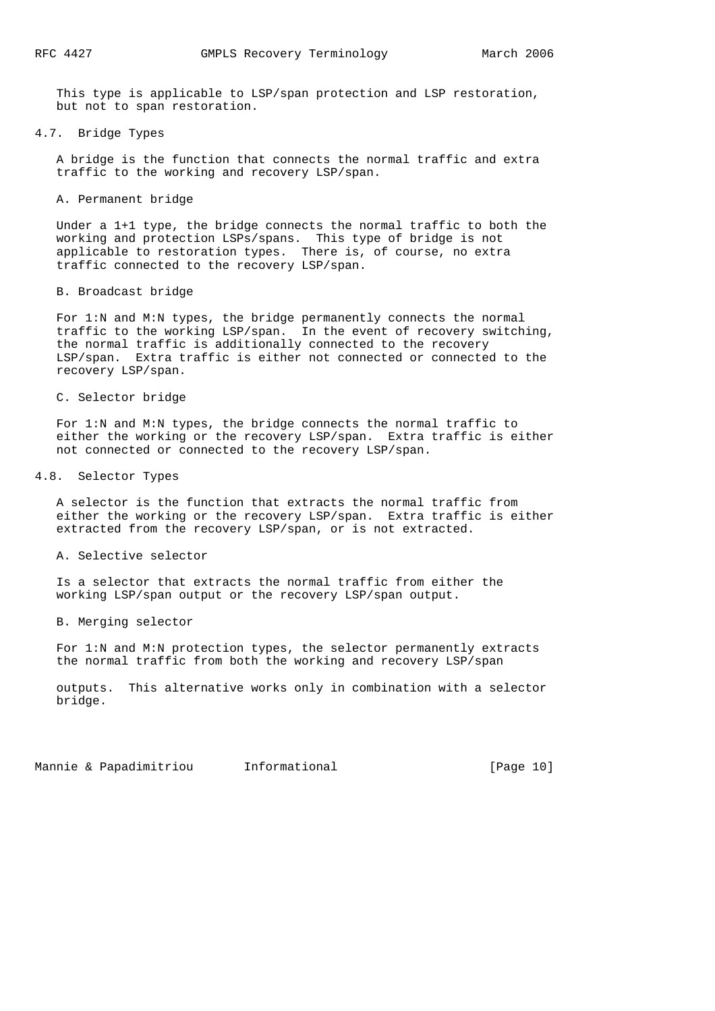This type is applicable to LSP/span protection and LSP restoration, but not to span restoration.

4.7. Bridge Types

 A bridge is the function that connects the normal traffic and extra traffic to the working and recovery LSP/span.

A. Permanent bridge

 Under a 1+1 type, the bridge connects the normal traffic to both the working and protection LSPs/spans. This type of bridge is not applicable to restoration types. There is, of course, no extra traffic connected to the recovery LSP/span.

B. Broadcast bridge

 For 1:N and M:N types, the bridge permanently connects the normal traffic to the working LSP/span. In the event of recovery switching, the normal traffic is additionally connected to the recovery LSP/span. Extra traffic is either not connected or connected to the recovery LSP/span.

C. Selector bridge

 For 1:N and M:N types, the bridge connects the normal traffic to either the working or the recovery LSP/span. Extra traffic is either not connected or connected to the recovery LSP/span.

4.8. Selector Types

 A selector is the function that extracts the normal traffic from either the working or the recovery LSP/span. Extra traffic is either extracted from the recovery LSP/span, or is not extracted.

A. Selective selector

 Is a selector that extracts the normal traffic from either the working LSP/span output or the recovery LSP/span output.

B. Merging selector

 For 1:N and M:N protection types, the selector permanently extracts the normal traffic from both the working and recovery LSP/span

 outputs. This alternative works only in combination with a selector bridge.

Mannie & Papadimitriou informational [Page 10]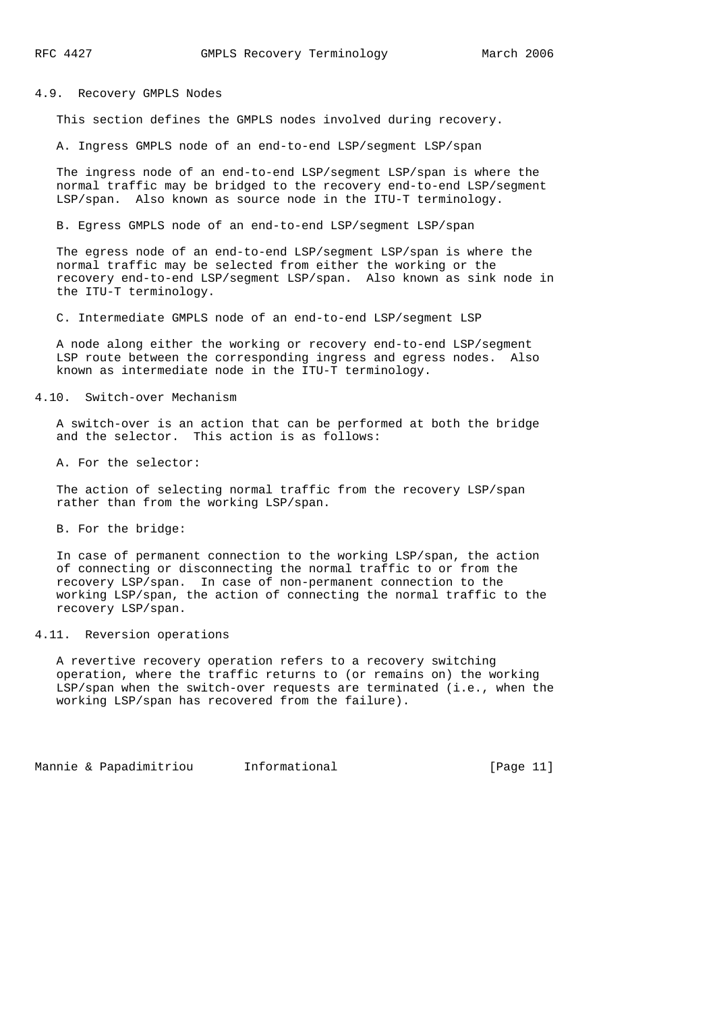## 4.9. Recovery GMPLS Nodes

This section defines the GMPLS nodes involved during recovery.

A. Ingress GMPLS node of an end-to-end LSP/segment LSP/span

 The ingress node of an end-to-end LSP/segment LSP/span is where the normal traffic may be bridged to the recovery end-to-end LSP/segment LSP/span. Also known as source node in the ITU-T terminology.

B. Egress GMPLS node of an end-to-end LSP/segment LSP/span

 The egress node of an end-to-end LSP/segment LSP/span is where the normal traffic may be selected from either the working or the recovery end-to-end LSP/segment LSP/span. Also known as sink node in the ITU-T terminology.

C. Intermediate GMPLS node of an end-to-end LSP/segment LSP

 A node along either the working or recovery end-to-end LSP/segment LSP route between the corresponding ingress and egress nodes. Also known as intermediate node in the ITU-T terminology.

## 4.10. Switch-over Mechanism

 A switch-over is an action that can be performed at both the bridge and the selector. This action is as follows:

A. For the selector:

 The action of selecting normal traffic from the recovery LSP/span rather than from the working LSP/span.

B. For the bridge:

 In case of permanent connection to the working LSP/span, the action of connecting or disconnecting the normal traffic to or from the recovery LSP/span. In case of non-permanent connection to the working LSP/span, the action of connecting the normal traffic to the recovery LSP/span.

## 4.11. Reversion operations

 A revertive recovery operation refers to a recovery switching operation, where the traffic returns to (or remains on) the working LSP/span when the switch-over requests are terminated (i.e., when the working LSP/span has recovered from the failure).

Mannie & Papadimitriou informational informational [Page 11]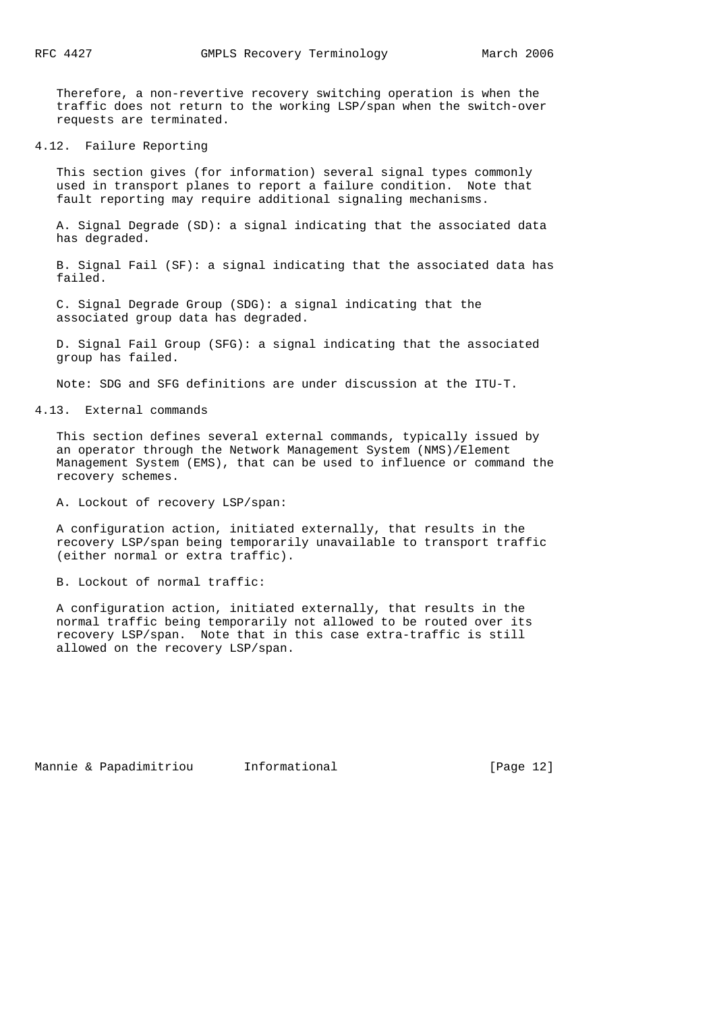Therefore, a non-revertive recovery switching operation is when the traffic does not return to the working LSP/span when the switch-over requests are terminated.

## 4.12. Failure Reporting

 This section gives (for information) several signal types commonly used in transport planes to report a failure condition. Note that fault reporting may require additional signaling mechanisms.

 A. Signal Degrade (SD): a signal indicating that the associated data has degraded.

 B. Signal Fail (SF): a signal indicating that the associated data has failed.

 C. Signal Degrade Group (SDG): a signal indicating that the associated group data has degraded.

 D. Signal Fail Group (SFG): a signal indicating that the associated group has failed.

Note: SDG and SFG definitions are under discussion at the ITU-T.

4.13. External commands

 This section defines several external commands, typically issued by an operator through the Network Management System (NMS)/Element Management System (EMS), that can be used to influence or command the recovery schemes.

A. Lockout of recovery LSP/span:

 A configuration action, initiated externally, that results in the recovery LSP/span being temporarily unavailable to transport traffic (either normal or extra traffic).

B. Lockout of normal traffic:

 A configuration action, initiated externally, that results in the normal traffic being temporarily not allowed to be routed over its recovery LSP/span. Note that in this case extra-traffic is still allowed on the recovery LSP/span.

Mannie & Papadimitriou informational informational [Page 12]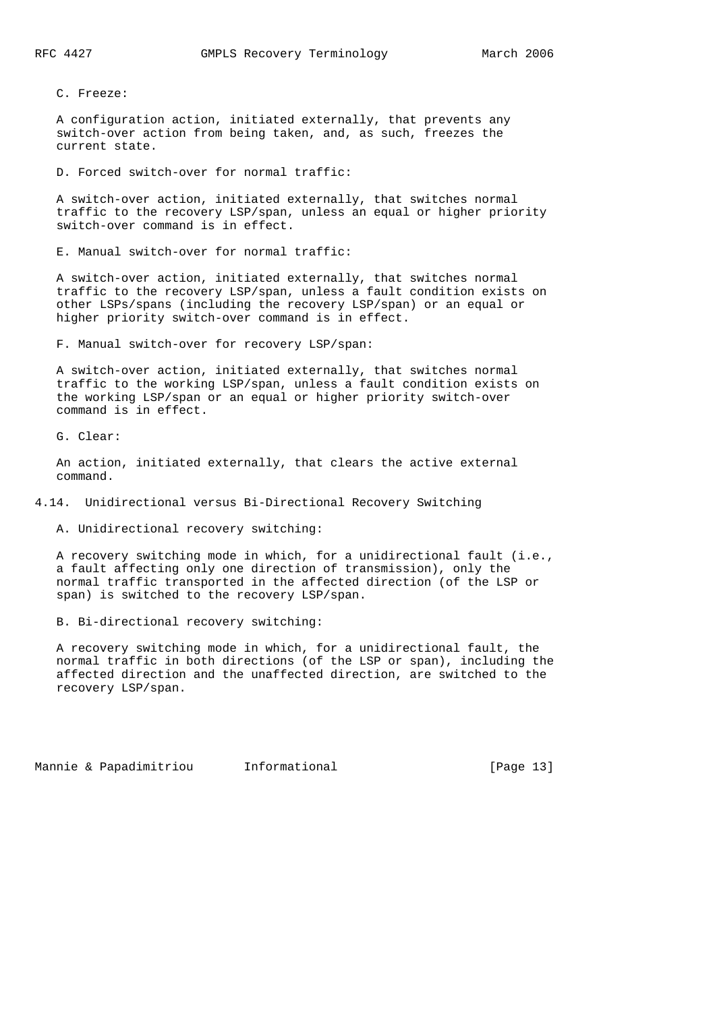C. Freeze:

 A configuration action, initiated externally, that prevents any switch-over action from being taken, and, as such, freezes the current state.

D. Forced switch-over for normal traffic:

 A switch-over action, initiated externally, that switches normal traffic to the recovery LSP/span, unless an equal or higher priority switch-over command is in effect.

E. Manual switch-over for normal traffic:

 A switch-over action, initiated externally, that switches normal traffic to the recovery LSP/span, unless a fault condition exists on other LSPs/spans (including the recovery LSP/span) or an equal or higher priority switch-over command is in effect.

F. Manual switch-over for recovery LSP/span:

 A switch-over action, initiated externally, that switches normal traffic to the working LSP/span, unless a fault condition exists on the working LSP/span or an equal or higher priority switch-over command is in effect.

G. Clear:

 An action, initiated externally, that clears the active external command.

4.14. Unidirectional versus Bi-Directional Recovery Switching

A. Unidirectional recovery switching:

 A recovery switching mode in which, for a unidirectional fault (i.e., a fault affecting only one direction of transmission), only the normal traffic transported in the affected direction (of the LSP or span) is switched to the recovery LSP/span.

B. Bi-directional recovery switching:

 A recovery switching mode in which, for a unidirectional fault, the normal traffic in both directions (of the LSP or span), including the affected direction and the unaffected direction, are switched to the recovery LSP/span.

Mannie & Papadimitriou informational [Page 13]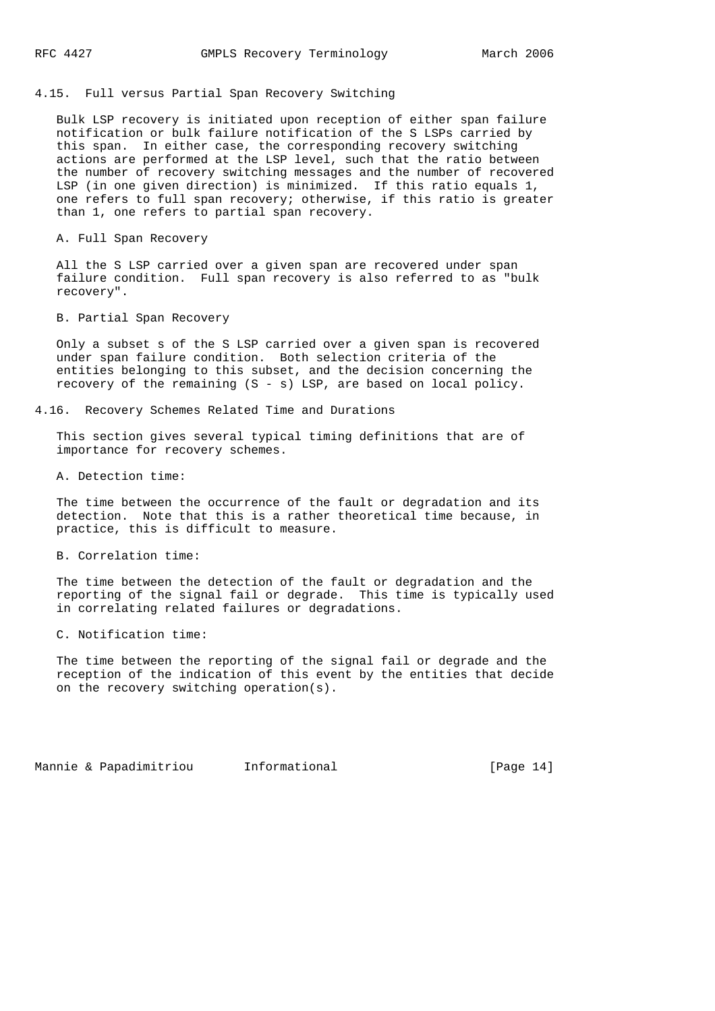## 4.15. Full versus Partial Span Recovery Switching

 Bulk LSP recovery is initiated upon reception of either span failure notification or bulk failure notification of the S LSPs carried by this span. In either case, the corresponding recovery switching actions are performed at the LSP level, such that the ratio between the number of recovery switching messages and the number of recovered LSP (in one given direction) is minimized. If this ratio equals 1, one refers to full span recovery; otherwise, if this ratio is greater than 1, one refers to partial span recovery.

A. Full Span Recovery

 All the S LSP carried over a given span are recovered under span failure condition. Full span recovery is also referred to as "bulk recovery".

B. Partial Span Recovery

 Only a subset s of the S LSP carried over a given span is recovered under span failure condition. Both selection criteria of the entities belonging to this subset, and the decision concerning the recovery of the remaining  $(S - s)$  LSP, are based on local policy.

4.16. Recovery Schemes Related Time and Durations

 This section gives several typical timing definitions that are of importance for recovery schemes.

A. Detection time:

 The time between the occurrence of the fault or degradation and its detection. Note that this is a rather theoretical time because, in practice, this is difficult to measure.

B. Correlation time:

 The time between the detection of the fault or degradation and the reporting of the signal fail or degrade. This time is typically used in correlating related failures or degradations.

C. Notification time:

 The time between the reporting of the signal fail or degrade and the reception of the indication of this event by the entities that decide on the recovery switching operation(s).

Mannie & Papadimitriou Informational [Page 14]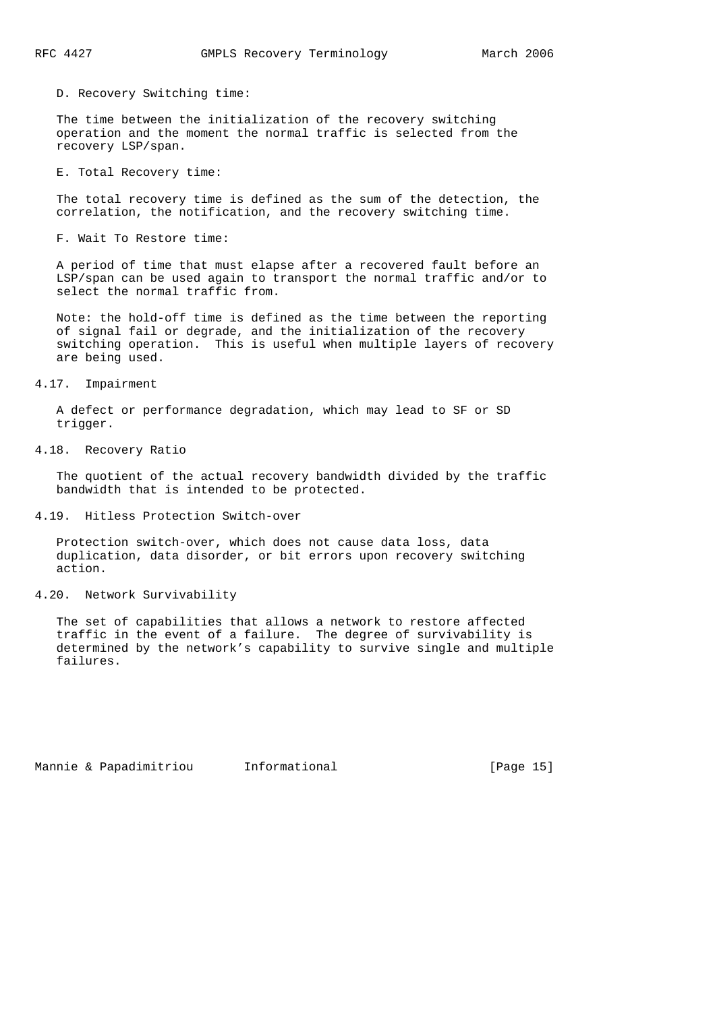D. Recovery Switching time:

 The time between the initialization of the recovery switching operation and the moment the normal traffic is selected from the recovery LSP/span.

E. Total Recovery time:

 The total recovery time is defined as the sum of the detection, the correlation, the notification, and the recovery switching time.

F. Wait To Restore time:

 A period of time that must elapse after a recovered fault before an LSP/span can be used again to transport the normal traffic and/or to select the normal traffic from.

 Note: the hold-off time is defined as the time between the reporting of signal fail or degrade, and the initialization of the recovery switching operation. This is useful when multiple layers of recovery are being used.

4.17. Impairment

 A defect or performance degradation, which may lead to SF or SD trigger.

4.18. Recovery Ratio

 The quotient of the actual recovery bandwidth divided by the traffic bandwidth that is intended to be protected.

4.19. Hitless Protection Switch-over

 Protection switch-over, which does not cause data loss, data duplication, data disorder, or bit errors upon recovery switching action.

4.20. Network Survivability

 The set of capabilities that allows a network to restore affected traffic in the event of a failure. The degree of survivability is determined by the network's capability to survive single and multiple failures.

Mannie & Papadimitriou Informational [Page 15]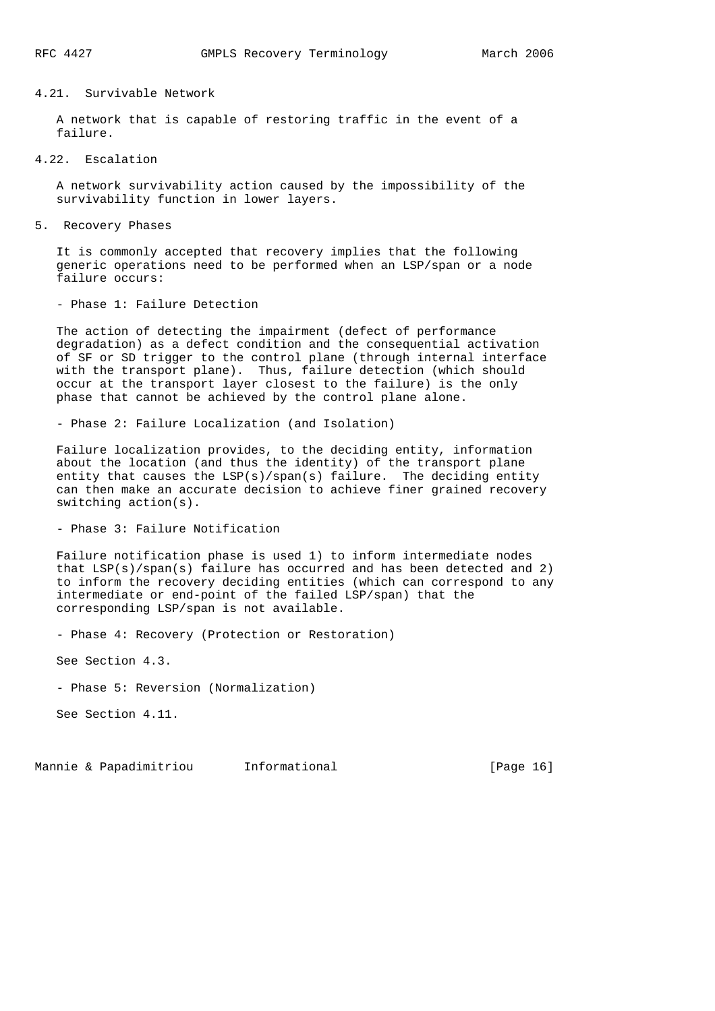## 4.21. Survivable Network

 A network that is capable of restoring traffic in the event of a failure.

4.22. Escalation

 A network survivability action caused by the impossibility of the survivability function in lower layers.

5. Recovery Phases

 It is commonly accepted that recovery implies that the following generic operations need to be performed when an LSP/span or a node failure occurs:

- Phase 1: Failure Detection

 The action of detecting the impairment (defect of performance degradation) as a defect condition and the consequential activation of SF or SD trigger to the control plane (through internal interface with the transport plane). Thus, failure detection (which should occur at the transport layer closest to the failure) is the only phase that cannot be achieved by the control plane alone.

- Phase 2: Failure Localization (and Isolation)

 Failure localization provides, to the deciding entity, information about the location (and thus the identity) of the transport plane entity that causes the LSP(s)/span(s) failure. The deciding entity can then make an accurate decision to achieve finer grained recovery switching action(s).

- Phase 3: Failure Notification

 Failure notification phase is used 1) to inform intermediate nodes that  $LSP(s)/span(s)$  failure has occurred and has been detected and 2) to inform the recovery deciding entities (which can correspond to any intermediate or end-point of the failed LSP/span) that the corresponding LSP/span is not available.

- Phase 4: Recovery (Protection or Restoration)

See Section 4.3.

- Phase 5: Reversion (Normalization)

See Section 4.11.

Mannie & Papadimitriou Informational [Page 16]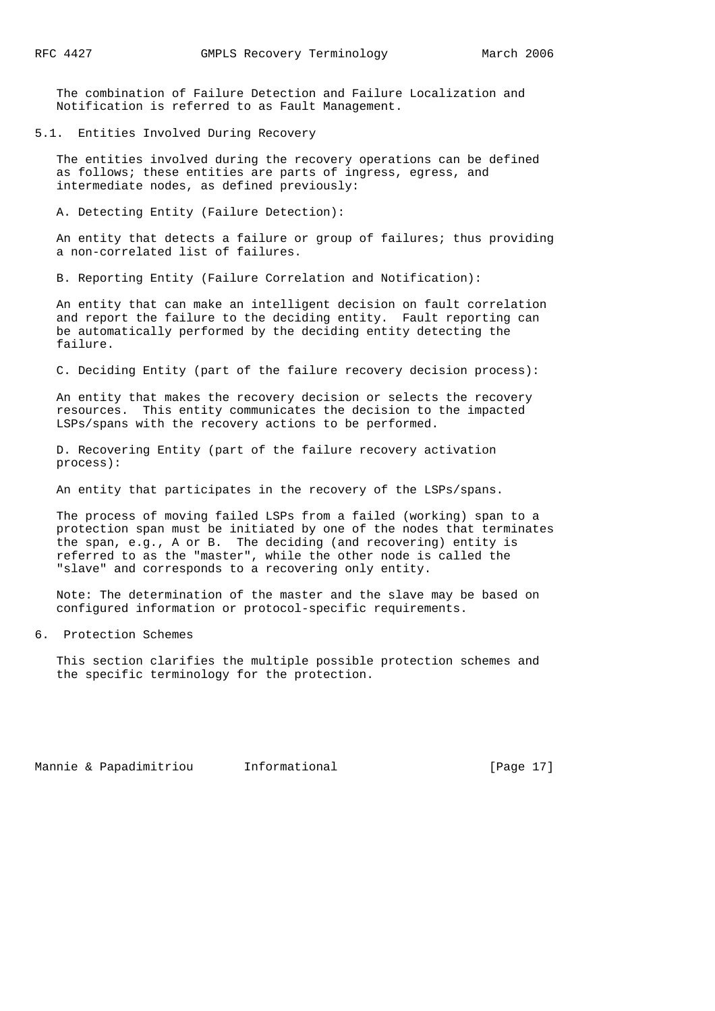The combination of Failure Detection and Failure Localization and Notification is referred to as Fault Management.

5.1. Entities Involved During Recovery

 The entities involved during the recovery operations can be defined as follows; these entities are parts of ingress, egress, and intermediate nodes, as defined previously:

A. Detecting Entity (Failure Detection):

 An entity that detects a failure or group of failures; thus providing a non-correlated list of failures.

B. Reporting Entity (Failure Correlation and Notification):

 An entity that can make an intelligent decision on fault correlation and report the failure to the deciding entity. Fault reporting can be automatically performed by the deciding entity detecting the failure.

C. Deciding Entity (part of the failure recovery decision process):

 An entity that makes the recovery decision or selects the recovery resources. This entity communicates the decision to the impacted LSPs/spans with the recovery actions to be performed.

 D. Recovering Entity (part of the failure recovery activation process):

An entity that participates in the recovery of the LSPs/spans.

 The process of moving failed LSPs from a failed (working) span to a protection span must be initiated by one of the nodes that terminates the span, e.g., A or B. The deciding (and recovering) entity is referred to as the "master", while the other node is called the "slave" and corresponds to a recovering only entity.

 Note: The determination of the master and the slave may be based on configured information or protocol-specific requirements.

6. Protection Schemes

 This section clarifies the multiple possible protection schemes and the specific terminology for the protection.

Mannie & Papadimitriou informational [Page 17]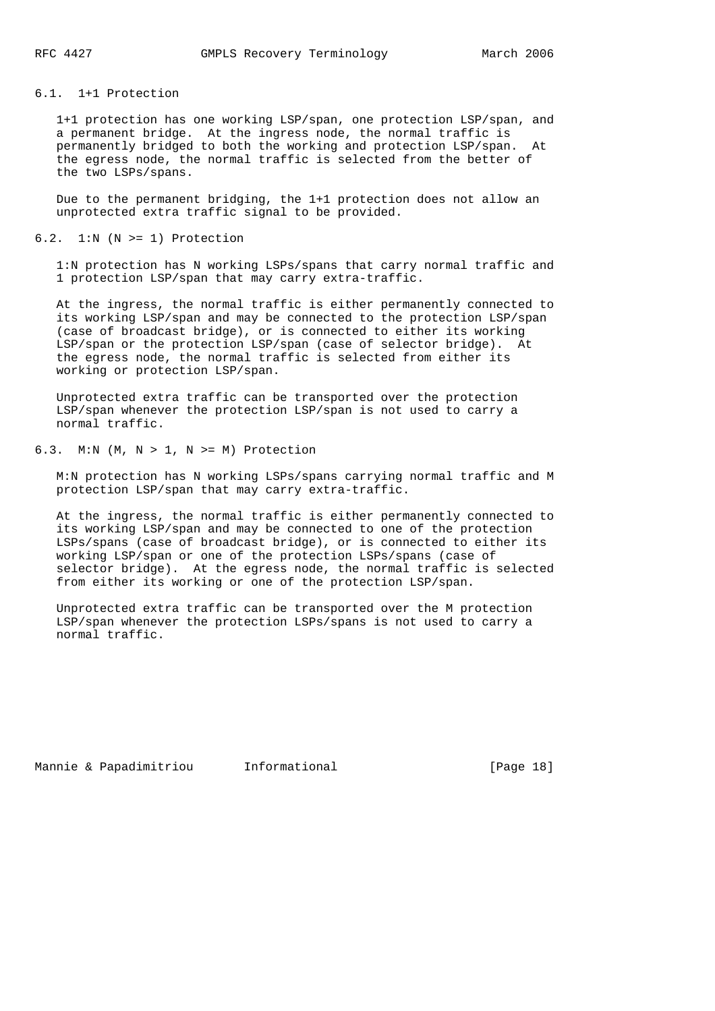## 6.1. 1+1 Protection

 1+1 protection has one working LSP/span, one protection LSP/span, and a permanent bridge. At the ingress node, the normal traffic is permanently bridged to both the working and protection LSP/span. At the egress node, the normal traffic is selected from the better of the two LSPs/spans.

 Due to the permanent bridging, the 1+1 protection does not allow an unprotected extra traffic signal to be provided.

# $6.2.$  1:N (N >= 1) Protection

 1:N protection has N working LSPs/spans that carry normal traffic and 1 protection LSP/span that may carry extra-traffic.

 At the ingress, the normal traffic is either permanently connected to its working LSP/span and may be connected to the protection LSP/span (case of broadcast bridge), or is connected to either its working LSP/span or the protection LSP/span (case of selector bridge). At the egress node, the normal traffic is selected from either its working or protection LSP/span.

 Unprotected extra traffic can be transported over the protection LSP/span whenever the protection LSP/span is not used to carry a normal traffic.

# 6.3. M:N (M, N > 1, N >= M) Protection

 M:N protection has N working LSPs/spans carrying normal traffic and M protection LSP/span that may carry extra-traffic.

 At the ingress, the normal traffic is either permanently connected to its working LSP/span and may be connected to one of the protection LSPs/spans (case of broadcast bridge), or is connected to either its working LSP/span or one of the protection LSPs/spans (case of selector bridge). At the egress node, the normal traffic is selected from either its working or one of the protection LSP/span.

 Unprotected extra traffic can be transported over the M protection LSP/span whenever the protection LSPs/spans is not used to carry a normal traffic.

Mannie & Papadimitriou Informational [Page 18]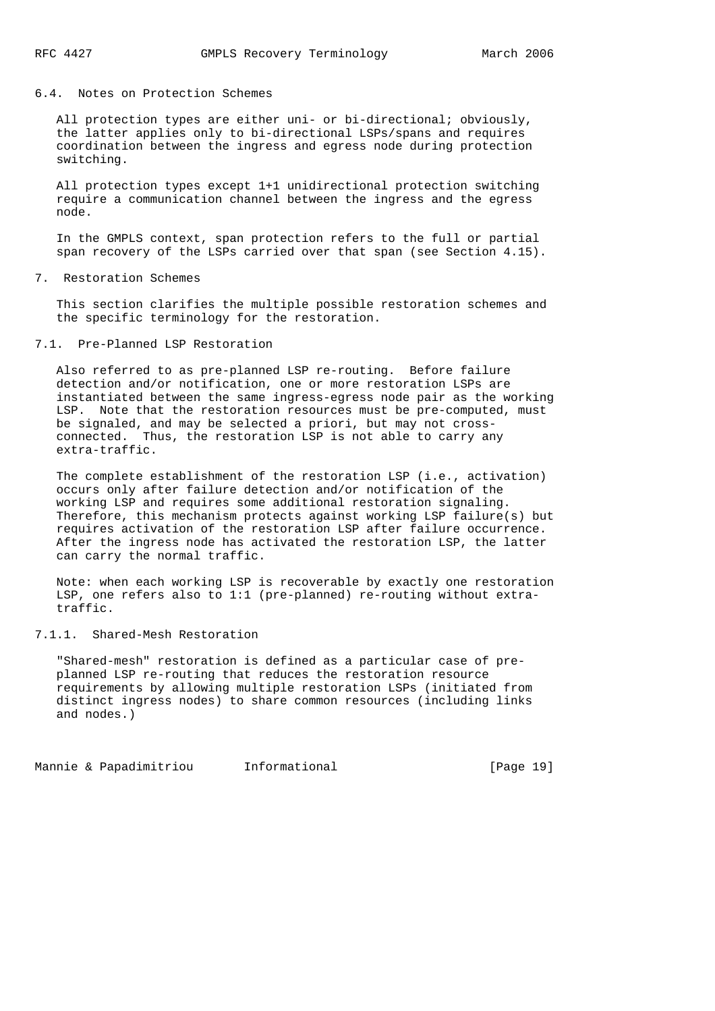## 6.4. Notes on Protection Schemes

 All protection types are either uni- or bi-directional; obviously, the latter applies only to bi-directional LSPs/spans and requires coordination between the ingress and egress node during protection switching.

 All protection types except 1+1 unidirectional protection switching require a communication channel between the ingress and the egress node.

 In the GMPLS context, span protection refers to the full or partial span recovery of the LSPs carried over that span (see Section 4.15).

## 7. Restoration Schemes

 This section clarifies the multiple possible restoration schemes and the specific terminology for the restoration.

## 7.1. Pre-Planned LSP Restoration

 Also referred to as pre-planned LSP re-routing. Before failure detection and/or notification, one or more restoration LSPs are instantiated between the same ingress-egress node pair as the working LSP. Note that the restoration resources must be pre-computed, must be signaled, and may be selected a priori, but may not cross connected. Thus, the restoration LSP is not able to carry any extra-traffic.

 The complete establishment of the restoration LSP (i.e., activation) occurs only after failure detection and/or notification of the working LSP and requires some additional restoration signaling. Therefore, this mechanism protects against working LSP failure(s) but requires activation of the restoration LSP after failure occurrence. After the ingress node has activated the restoration LSP, the latter can carry the normal traffic.

 Note: when each working LSP is recoverable by exactly one restoration LSP, one refers also to 1:1 (pre-planned) re-routing without extra traffic.

## 7.1.1. Shared-Mesh Restoration

 "Shared-mesh" restoration is defined as a particular case of pre planned LSP re-routing that reduces the restoration resource requirements by allowing multiple restoration LSPs (initiated from distinct ingress nodes) to share common resources (including links and nodes.)

Mannie & Papadimitriou Informational [Page 19]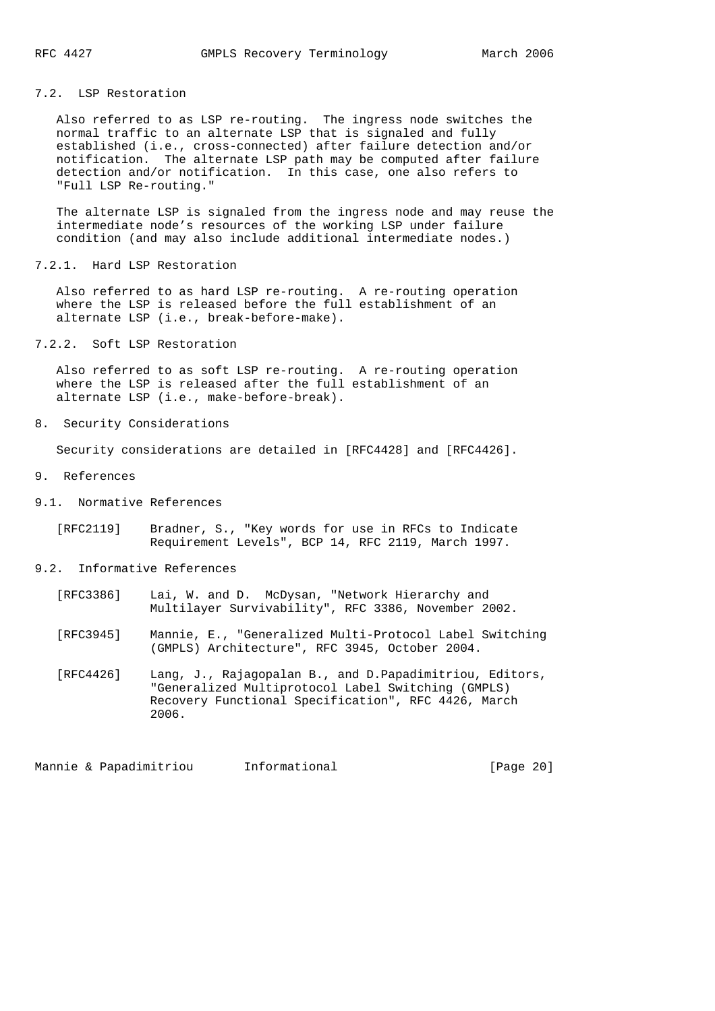# 7.2. LSP Restoration

 Also referred to as LSP re-routing. The ingress node switches the normal traffic to an alternate LSP that is signaled and fully established (i.e., cross-connected) after failure detection and/or notification. The alternate LSP path may be computed after failure detection and/or notification. In this case, one also refers to "Full LSP Re-routing."

 The alternate LSP is signaled from the ingress node and may reuse the intermediate node's resources of the working LSP under failure condition (and may also include additional intermediate nodes.)

7.2.1. Hard LSP Restoration

 Also referred to as hard LSP re-routing. A re-routing operation where the LSP is released before the full establishment of an alternate LSP (i.e., break-before-make).

7.2.2. Soft LSP Restoration

 Also referred to as soft LSP re-routing. A re-routing operation where the LSP is released after the full establishment of an alternate LSP (i.e., make-before-break).

8. Security Considerations

Security considerations are detailed in [RFC4428] and [RFC4426].

- 9. References
- 9.1. Normative References

 [RFC2119] Bradner, S., "Key words for use in RFCs to Indicate Requirement Levels", BCP 14, RFC 2119, March 1997.

- 9.2. Informative References
	- [RFC3386] Lai, W. and D. McDysan, "Network Hierarchy and Multilayer Survivability", RFC 3386, November 2002.
	- [RFC3945] Mannie, E., "Generalized Multi-Protocol Label Switching (GMPLS) Architecture", RFC 3945, October 2004.
	- [RFC4426] Lang, J., Rajagopalan B., and D.Papadimitriou, Editors, "Generalized Multiprotocol Label Switching (GMPLS) Recovery Functional Specification", RFC 4426, March 2006.

Mannie & Papadimitriou Informational [Page 20]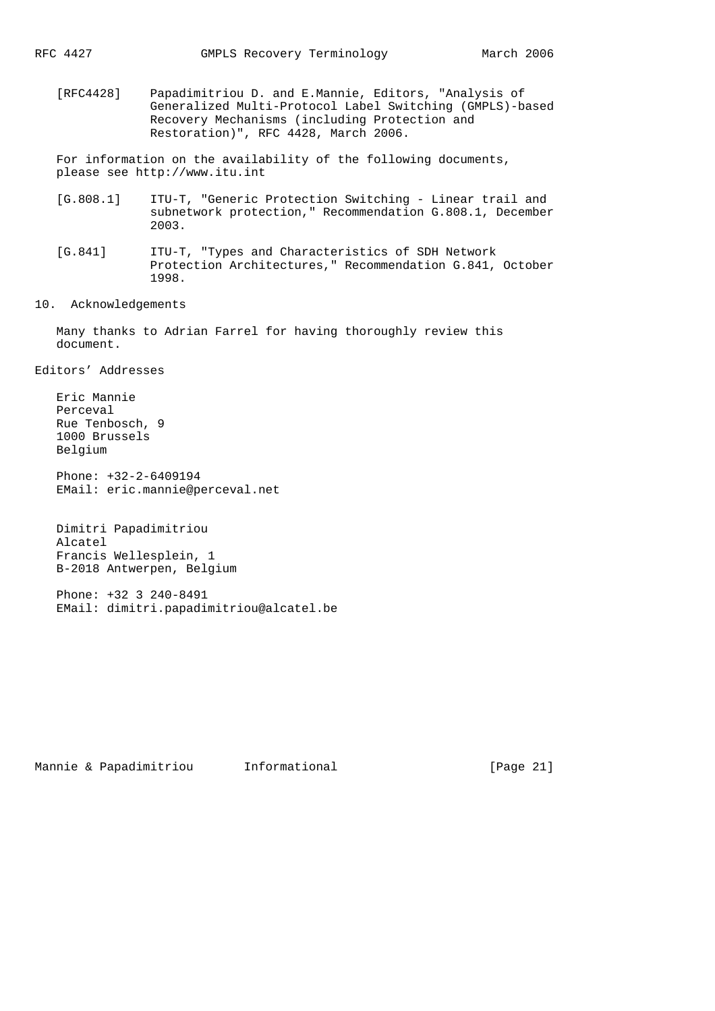[RFC4428] Papadimitriou D. and E.Mannie, Editors, "Analysis of Generalized Multi-Protocol Label Switching (GMPLS)-based Recovery Mechanisms (including Protection and Restoration)", RFC 4428, March 2006.

 For information on the availability of the following documents, please see http://www.itu.int

- [G.808.1] ITU-T, "Generic Protection Switching Linear trail and subnetwork protection," Recommendation G.808.1, December 2003.
- [G.841] ITU-T, "Types and Characteristics of SDH Network Protection Architectures," Recommendation G.841, October 1998.
- 10. Acknowledgements

 Many thanks to Adrian Farrel for having thoroughly review this document.

Editors' Addresses

 Eric Mannie Perceval Rue Tenbosch, 9 1000 Brussels Belgium

 Phone: +32-2-6409194 EMail: eric.mannie@perceval.net

 Dimitri Papadimitriou Alcatel Francis Wellesplein, 1 B-2018 Antwerpen, Belgium

 Phone: +32 3 240-8491 EMail: dimitri.papadimitriou@alcatel.be

Mannie & Papadimitriou Informational [Page 21]